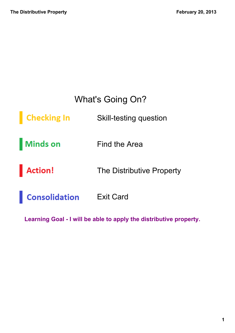### What's Going On?

**Checking In Skill-testing question** 

**Minds on** Find the Area

**Action!** The Distributive Property

**Consolidation** Exit Card

Learning Goal - I will be able to apply the distributive property.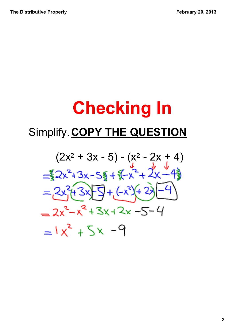# **Checking In** Simplify. **COPY THE QUESTION**

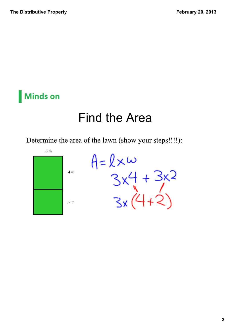#### **Minds on**

# Find the Area

Determine the area of the lawn (show your steps!!!!):

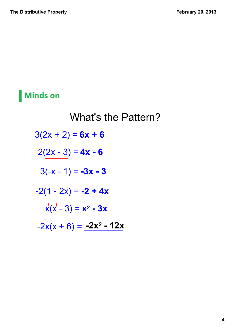#### **Minds on**

# What's the Pattern?  $3(2x + 2) = 6x + 6$  $2(2x - 3) = 4x - 6$  $3(-x - 1) = -3x - 3$  $-2(1 - 2x) = -2 + 4x$  $\dot{x}(x - 3) = x^2 - 3x$  $-2x(x + 6) = -2x^2 - 12x$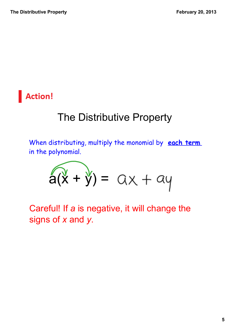#### **Action!**

## The Distributive Property

When distributing, multiply the monomial by **each term** in the polynomial.

$$
\widehat{a(x + y)} = ax + ay
$$

Careful! If *a* is negative, it will change the signs of *x* and *y*.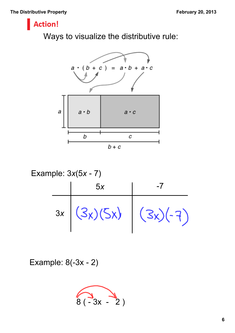#### **Action!**

Ways to visualize the distributive rule:



Example:  $3x(5x - 7)$ 5*<sup>x</sup>* 7  $(3x)(5x) (3x)(-7)$ 3*x*

Example:  $8(-3x - 2)$ 

$$
\widehat{8(-3x-2)}
$$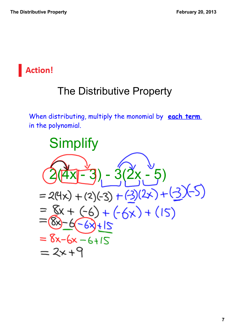

## The Distributive Property

When distributing, multiply the monomial by **each term** in the polynomial.

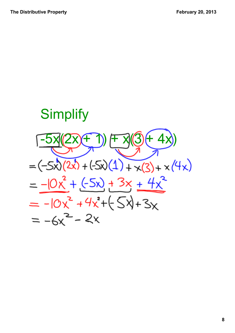# **Simplify**  $-5x(2x+1) + x(3+4x)$  $=(-5x)(2x)+(5x)(1)+x(3)+x(4x)$  $=-10x^{2}+(5x)+3x+4x^{2}$  $= -10x^{2} + 4x^{2} + (-5x) + 3x$  $= -6x^2 - 2x$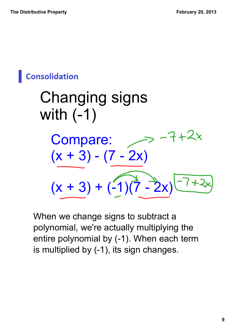## **Consolidation**

Changing signs with  $(-1)$  $7+2x$ Compare:  $(x + 3) - (7 - 2x)$  $(x + 3) + (-1)(7 - 2x)$ 

When we change signs to subtract a polynomial, we're actually multiplying the entire polynomial by (-1). When each term is multiplied by (-1), its sign changes.